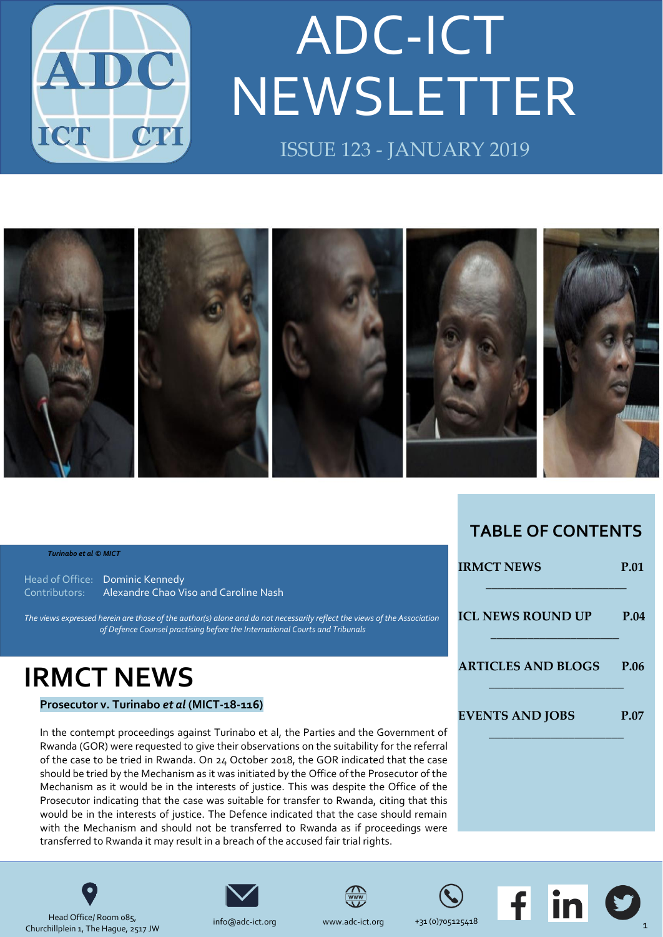

# NEWSLETTER ADC-ICT ISSUE 123 - JANUARY 2019



#### *Turinabo et al © MICT*

Head of Office: Dominic Kennedy Contributors: Alexandre Chao Viso and Caroline Nash

The views expressed herein are those of the author(s) alone and do not necessarily reflect the views of the Association *of Defence Counsel practising before the International Courts and Tribunals*

## **IRMCT NEWS**

### **Prosecutor v. Turinabo** *et al* **(MICT-18-116)**

In the contempt proceedings against Turinabo et al, the Parties and the Government of Rwanda (GOR) were requested to give their observations on the suitability for the referral of the case to be tried in Rwanda. On 24 October 2018, the GOR indicated that the case should be tried by the Mechanism as it was initiated by the Office of the Prosecutor of the Mechanism as it would be in the interests of justice. This was despite the Office of the Prosecutor indicating that the case was suitable for transfer to Rwanda, citing that this would be in the interests of justice. The Defence indicated that the case should remain with the Mechanism and should not be transferred to Rwanda as if proceedings were transferred to Rwanda it may result in a breach of the accused fair trial rights.

### **IRMCT NEWS** P.01 \_\_\_\_\_\_\_\_\_\_\_\_\_\_\_\_\_\_\_\_\_\_\_ **[ICL NEWS ROUND UP](#page-3-0) P.04** \_\_\_\_\_\_\_\_\_\_\_\_\_\_\_\_\_\_\_\_\_ **[ARTICLES AND BLOGS](#page-5-0) P.06** \_\_\_\_\_\_\_\_\_\_\_\_\_\_\_\_\_\_\_\_\_\_ **[EVENTS AND JOBS](#page-6-0) P.07** \_\_\_\_\_\_\_\_\_\_\_\_\_\_\_\_\_\_\_\_\_\_

**TABLE OF CONTENTS**



Head Office/ Room 085, Churchillplein 1, The Hague, 2517 JW









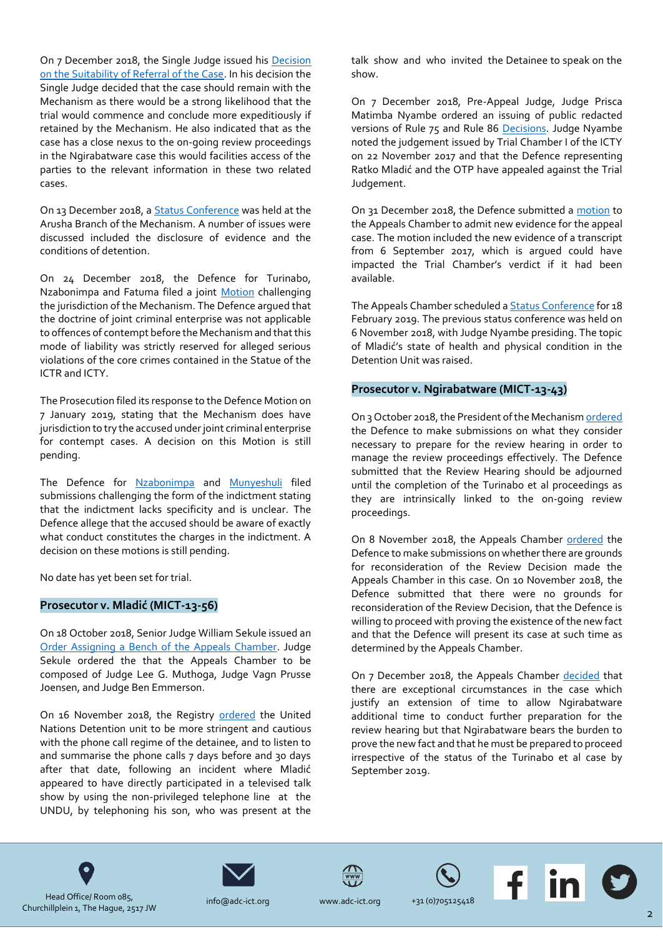On 7 December 2018, the Single Judge issued his [Decision](http://jrad.irmct.org/HPRMServiceAPI/Record/243436/file/document)  [on the Suitability of Referral of the Case.](http://jrad.irmct.org/HPRMServiceAPI/Record/243436/file/document) In his decision the Single Judge decided that the case should remain with the Mechanism as there would be a strong likelihood that the trial would commence and conclude more expeditiously if retained by the Mechanism. He also indicated that as the case has a close nexus to the on-going review proceedings in the Ngirabatware case this would facilities access of the parties to the relevant information in these two related cases.

On 13 December 2018, [a Status Conference](http://jrad.irmct.org/HPRMServiceAPI/Record/243824/file/document) was held at the Arusha Branch of the Mechanism. A number of issues were discussed included the disclosure of evidence and the conditions of detention.

On 24 December 2018, the Defence for Turinabo, Nzabonimpa and Fatuma filed a joint [Motion](http://jrad.irmct.org/HPRMServiceAPI/Record/243657/file/document) challenging the jurisdiction of the Mechanism. The Defence argued that the doctrine of joint criminal enterprise was not applicable to offences of contempt before the Mechanism and that this mode of liability was strictly reserved for alleged serious violations of the core crimes contained in the Statue of the ICTR and ICTY.

The Prosecution filed its response to the Defence Motion on 7 January 2019, stating that the Mechanism does have jurisdiction to try the accused under joint criminal enterprise for contempt cases. A decision on this Motion is still pending.

The Defence for [Nzabonimpa](http://jrad.irmct.org/HPRMServiceAPI/Record/243970/file/document) and [Munyeshuli](http://jrad.irmct.org/HPRMServiceAPI/Record/243779/file/document) filed submissions challenging the form of the indictment stating that the indictment lacks specificity and is unclear. The Defence allege that the accused should be aware of exactly what conduct constitutes the charges in the indictment. A decision on these motions is still pending.

No date has yet been set for trial.

### **Prosecutor v. Mladić (MICT-13-56)**

On 18 October 2018, Senior Judge William Sekule issued an [Order Assigning a Bench of the Appeals Chamber.](http://jrad.unmict.org/view.htm?r=242519&s=) Judge Sekule ordered the that the Appeals Chamber to be composed of Judge Lee G. Muthoga, Judge Vagn Prusse Joensen, and Judge Ben Emmerson.

On 16 November 2018, the Registry [ordered](http://jrad.unmict.org/view.htm?r=242865&s=) the United Nations Detention unit to be more stringent and cautious with the phone call regime of the detainee, and to listen to and summarise the phone calls 7 days before and 30 days after that date, following an incident where Mladić appeared to have directly participated in a televised talk show by using the non-privileged telephone line at the UNDU, by telephoning his son, who was present at the talk show and who invited the Detainee to speak on the show.

On 7 December 2018, Pre-Appeal Judge, Judge Prisca Matimba Nyambe ordered an issuing of public redacted versions of Rule 75 and Rule 86 [Decisions.](http://jrad.unmict.org/view.htm?r=243441&s=) Judge Nyambe noted the judgement issued by Trial Chamber I of the ICTY on 22 November 2017 and that the Defence representing Ratko Mladić and the OTP have appealed against the Trial Judgement.

On 31 December 2018, the Defence submitted [a motion](http://jrad.unmict.org/view.htm?r=243773&s=) to the Appeals Chamber to admit new evidence for the appeal case. The motion included the new evidence of a transcript from 6 September 2017, which is argued could have impacted the Trial Chamber's verdict if it had been available.

The Appeals Chamber scheduled [a Status Conference](http://jrad.unmict.org/view.htm?r=243793&s=) for 18 February 2019. The previous status conference was held on 6 November 2018, with Judge Nyambe presiding. The topic of Mladić's state of health and physical condition in the Detention Unit was raised.

### **Prosecutor v. Ngirabatware (MICT-13-43)**

On 3 October 2018, the President of the Mechanis[m ordered](http://jrad.irmct.org/HPRMServiceAPI/Record/242789/file/document) the Defence to make submissions on what they consider necessary to prepare for the review hearing in order to manage the review proceedings effectively. The Defence submitted that the Review Hearing should be adjourned until the completion of the Turinabo et al proceedings as they are intrinsically linked to the on-going review proceedings.

On 8 November 2018, the Appeals Chamber [ordered](http://jrad.irmct.org/HPRMServiceAPI/Record/242789/file/document) the Defence to make submissions on whether there are grounds for reconsideration of the Review Decision made the Appeals Chamber in this case. On 10 November 2018, the Defence submitted that there were no grounds for reconsideration of the Review Decision, that the Defence is willing to proceed with proving the existence of the new fact and that the Defence will present its case at such time as determined by the Appeals Chamber.

On 7 December 2018, the Appeals Chamber [decided](http://jrad.irmct.org/HPRMServiceAPI/Record/243438/file/document) that there are exceptional circumstances in the case which justify an extension of time to allow Ngirabatware additional time to conduct further preparation for the review hearing but that Ngirabatware bears the burden to prove the new fact and that he must be prepared to proceed irrespective of the status of the Turinabo et al case by September 2019.









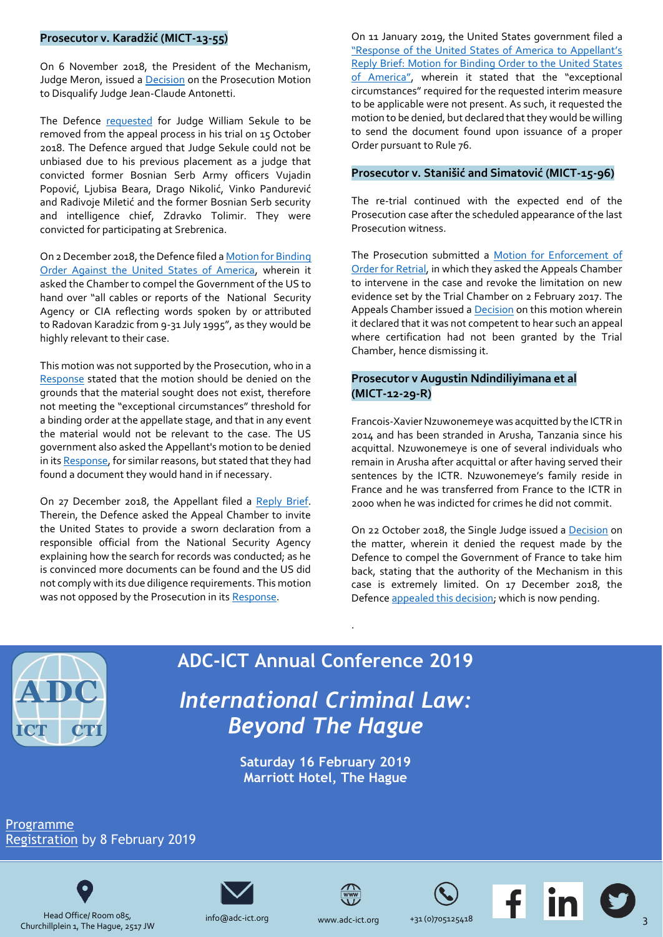### **Prosecutor v. Karadžić (MICT-13-55)**

On 6 November 2018, the President of the Mechanism, Judge Meron, issued a [Decision](http://jrad.unmict.org/view.htm?r=242783&s=) on the Prosecution Motion to Disqualify Judge Jean-Claude Antonetti.

The Defence [requested](http://jrad.unmict.org/view.htm?r=242477&s=) for Judge William Sekule to be removed from the appeal process in his trial on 15 October 2018. The Defence argued that Judge Sekule could not be unbiased due to his previous placement as a judge that convicted former Bosnian Serb Army officers Vujadin Popović, Ljubisa Beara, Drago Nikolić, Vinko Pandurević and Radivoje Miletić and the former Bosnian Serb security and intelligence chief, Zdravko Tolimir. They were convicted for participating at Srebrenica.

On 2 December 2018, the Defence filed [a Motion for Binding](http://jrad.unmict.org/view.htm?r=243425&s=)  [Order Against the United States of America,](http://jrad.unmict.org/view.htm?r=243425&s=) wherein it asked the Chamber to compel the Government of the US to hand over "all cables or reports of the National Security Agency or CIA reflecting words spoken by or attributed to Radovan Karadzic from 9-31 July 1995", as they would be highly relevant to their case.

This motion was not supported by the Prosecution, who in a [Response](http://jrad.unmict.org/view.htm?r=243494&s=) stated that the motion should be denied on the grounds that the material sought does not exist, therefore not meeting the "exceptional circumstances" threshold for a binding order at the appellate stage, and that in any event the material would not be relevant to the case. The US government also asked the Appellant's motion to be denied in its [Response,](http://jrad.unmict.org/view.htm?r=243643&s=) for similar reasons, but stated that they had found a document they would hand in if necessary.

On 27 December 2018, the Appellant filed a [Reply Brief.](http://jrad.unmict.org/view.htm?r=243653&s=) Therein, the Defence asked the Appeal Chamber to invite the United States to provide a sworn declaration from a responsible official from the National Security Agency explaining how the search for records was conducted; as he is convinced more documents can be found and the US did not comply with its due diligence requirements. This motion was not opposed by the Prosecution in it[s Response.](http://jrad.unmict.org/view.htm?r=243792&s=)

On 11 January 2019, the United States government filed a ["Response of the United States of America to Appellant's](http://jrad.unmict.org/HPRMServiceAPI/Record/243965/file/document) [Reply Brief: Motion for Binding Order to the United States](http://jrad.unmict.org/HPRMServiceAPI/Record/243965/file/document)  [of America",](http://jrad.unmict.org/HPRMServiceAPI/Record/243965/file/document) wherein it stated that the "exceptional circumstances" required for the requested interim measure to be applicable were not present. As such, it requested the motion to be denied, but declared that they would be willing to send the document found upon issuance of a proper Order pursuant to Rule 76.

### **Prosecutor v. Stanišić and Simatović (MICT-15-96)**

The re-trial continued with the expected end of the Prosecution case after the scheduled appearance of the last Prosecution witness.

The Prosecution submitted a [Motion for Enforcement of](file:///C:/Users/Dominic/Desktop/jrad.unmict.org/view.htm%3fr=242456&s=)  [Order for Retrial,](file:///C:/Users/Dominic/Desktop/jrad.unmict.org/view.htm%3fr=242456&s=) in which they asked the Appeals Chamber to intervene in the case and revoke the limitation on new evidence set by the Trial Chamber on 2 February 2017. The Appeals Chamber issued a [Decision](http://jrad.unmict.org/HPRMServiceAPI/Record/243824/file/document) on this motion wherein it declared that it was not competent to hear such an appeal where certification had not been granted by the Trial Chamber, hence dismissing it.

### **Prosecutor v Augustin Ndindiliyimana et al (MICT-12-29-R)**

Francois-Xavier Nzuwonemeye was acquitted by the ICTR in 2014 and has been stranded in Arusha, Tanzania since his acquittal. Nzuwonemeye is one of several individuals who remain in Arusha after acquittal or after having served their sentences by the ICTR. Nzuwonemeye's family reside in France and he was transferred from France to the ICTR in 2000 when he was indicted for crimes he did not commit.

On 22 October 2018, the Single Judge issued [a Decision](http://jrad.unmict.org/view.htm?r=242709&s=) on the matter, wherein it denied the request made by the Defence to compel the Government of France to take him back, stating that the authority of the Mechanism in this case is extremely limited. On 17 December 2018, the Defence [appealed this decision;](http://jrad.unmict.org/view.htm?r=243565&s=) which is now pending.



## **ADC-ICT Annual Conference 2019** *International Criminal Law:*

.

**Saturday 16 February 2019 Marriott Hotel, The Hague**

*Beyond The Hague*





Head Office/ Room 085, Churchillplein 1, The Hague, 2517 JW





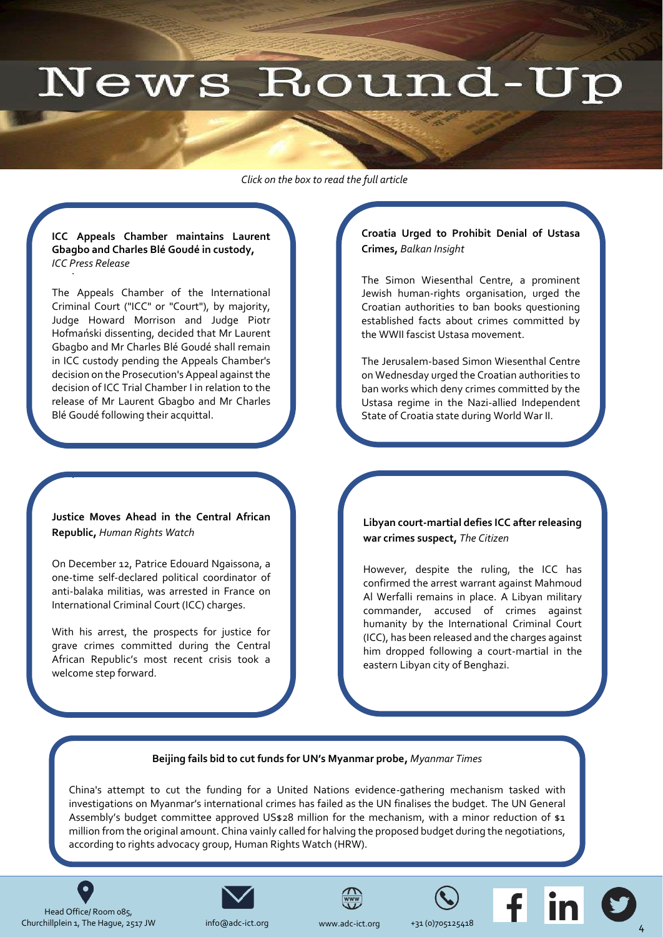# News Round-Up

<span id="page-3-0"></span>*Click on the box to read the full article* 

### . **ICC Appeals Chamber maintains Laurent Gbagbo and Charles Blé Goudé in custody,**  *ICC Press Release*

The Appeals Chamber of the International Criminal Court ("ICC" or "Court"), by majority, Judge Howard Morrison and Judge Piotr Hofmański dissenting, decided that Mr Laurent Gbagbo and Mr Charles Blé Goudé shall remain in ICC custody pending the Appeals Chamber's decision on the Prosecution's Appeal against the decision of ICC Trial Chamber I in relation to the [release of Mr Laurent Gbagbo and Mr Charles](https://www.icc-cpi.int/Pages/item.aspx?name=pr1429)  Blé Goudé following their acquittal.

**Justice Moves Ahead in the Central African Republic,** *Human Rights Watch*

.

On December 12, Patrice Edouard Ngaissona, a one-time self-declared political coordinator of [anti-balaka militias, was arrested in France on](https://www.hrw.org/news/2018/12/13/justice-moves-ahead-central-african-republic)  International Criminal Court (ICC) charges.

With his arrest, the prospects for justice for grave crimes committed during the Central African Republic's most recent crisis took a welcome step forward.

**Croatia Urged to Prohibit Denial of Ustasa Crimes,** *Balkan Insight*

The Simon Wiesenthal Centre, a prominent Jewish human-rights organisation, urged the Croatian authorities to ban books questioning established facts about crimes committed by the WWII fascist Ustasa movement.

The Jerusalem-based Simon Wiesenthal Centre on Wednesday urged the Croatian authorities to ban works which deny crimes committed by the [Ustasa regime in the Nazi-allied Independent](http://www.balkaninsight.com/en/article/wiesenthal-center-urges-croatian-authorities-to-prohibit-denial-of-ustasha-crimes-01-09-2019?utm_source=Balkan+Transitional+Justice+Daily+Newsletter+-+NEW&utm_campaign=48011e10c9-RSS_EMAIL_CAMPAIGN&utm_medium=email&utm_term=0_a1d9e93e97-48011e10c9-319753337)  State of Croatia state during World War II.

### **Libyan court-martial defies ICC after releasing war crimes suspect,** *The Citizen*

However, despite the ruling, the ICC has confirmed the arrest warrant against Mahmoud Al Werfalli remains in place. A Libyan military commander, accused of crimes against humanity by the International Criminal Court (ICC), has been released and the charges against [him dropped following a court-martial in the](http://www.atimes.com/article/legal-case-builds-for-trying-duterte-at-the-icc/)  eastern Libyan city of Benghazi.

### **Beijing fails bid to cut funds for UN's Myanmar probe,** *Myanmar Times*

[China's attempt to cut the funding for a United Nations evidence-gathering mechanism tasked with](http://time.com/5404328/myanmar-accountability-yanghee-lee/)  investigations on Myanmar's international crimes has failed as the UN finalises the budget. The UN General Assembly's budget committee approved US\$28 million for the mechanism, with a minor reduction of \$1 million from the original amount. China vainly called for halving the proposed budget during the negotiations, according to rights advocacy group, Human Rights Watch (HRW).





[info@adc-](mailto:dkennedy@icty.org)ict.org







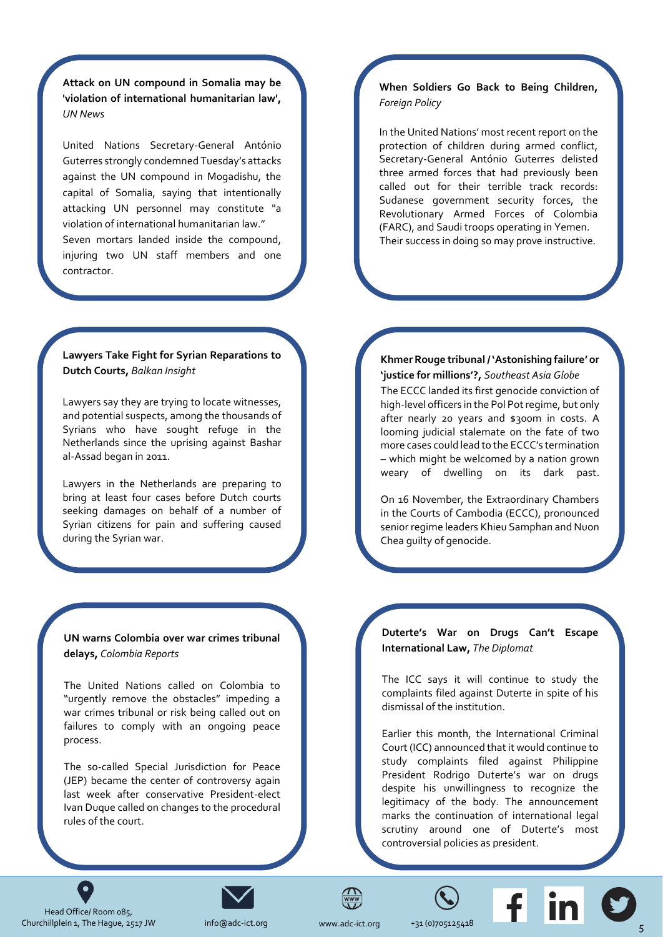**Attack on UN compound in Somalia may be 'violation of international humanitarian law',**  *UN News*

[United Nations Secretary-General António](https://news.un.org/en/story/2019/01/1029642)  Guterres strongly condemned Tuesday's attacks against the UN compound in Mogadishu, the capital of Somalia, saying that intentionally attacking UN personnel may constitute "a violation of international humanitarian law." Seven mortars landed inside the compound, injuring two UN staff members and one contractor.

### **Lawyers Take Fight for Syrian Reparations to Dutch Courts,** *Balkan Insight*

Lawyers say they are trying to locate witnesses, and potential suspects, among the thousands of Syrians who have sought refuge in the [Netherlands since the uprising against Bashar](http://www.balkaninsight.com/en/article/lawyers-take-fight-for-syrian-reparations-to-dutch-courts-01-04-2019)  al-Assad began in 2011.

Lawyers in the Netherlands are preparing to bring at least four cases before Dutch courts seeking damages on behalf of a number of Syrian citizens for pain and suffering caused during the Syrian war.

**UN warns Colombia over war crimes tribunal delays,** *Colombia Reports*

The United Nations called on Colombia to "urgently remove the obstacles" impeding a war crimes tribunal or risk being called out on failures to comply with an ongoing peace process.

[The so-called Special Jurisdiction for Peace](https://colombiareports.com/un-warns-colombia-over-war-crimes-tribunal-delays/)  (JEP) became the center of controversy again last week after conservative President-elect Ivan Duque called on changes to the procedural rules of the court.

### **[When Soldiers Go Back to Being Children,](https://foreignpolicy.com/2018/12/12/when-soldiers-go-back-to-being-children/)**  *Foreign Policy*

In the United Nations' most recent report on the protection of children during armed conflict, Secretary-General António Guterres delisted three armed forces that had previously been called out for their terrible track records: Sudanese government security forces, the Revolutionary Armed Forces of Colombia (FARC), and Saudi troops operating in Yemen. Their success in doing so may prove instructive.

### **[Khmer Rouge tribunal / 'Astonishing failure' or](https://sea-globe.com/khmer-rouge-tribunal-astonishing-failure-or-justice-for-millions/)  'justice for millions'?,** *Southeast Asia Globe*

The ECCC landed its first genocide conviction of high-level officers in the Pol Pot regime, but only after nearly 20 years and \$300m in costs. A looming judicial stalemate on the fate of two more cases could lead to the ECCC's termination – which might be welcomed by a nation grown weary of dwelling on its dark past.

On 16 November, the Extraordinary Chambers in the Courts of Cambodia (ECCC), pronounced senior regime leaders Khieu Samphan and Nuon Chea guilty of genocide.

**Duterte's War on Drugs Can't Escape International Law,** *The Diplomat*

The ICC says it will continue to study the complaints filed against Duterte in spite of his dismissal of the institution.

[Earlier this month, the International Criminal](https://thediplomat.com/2018/12/dutertes-war-on-drugs-cant-escape-international-law/)  Court (ICC) announced that it would continue to study complaints filed against Philippine President Rodrigo Duterte's war on drugs despite his unwillingness to recognize the legitimacy of the body. The announcement marks the continuation of international legal scrutiny around one of Duterte's most controversial policies as president.



 $\bullet$ 



[info@adc-](mailto:dkennedy@icty.org)ict.org

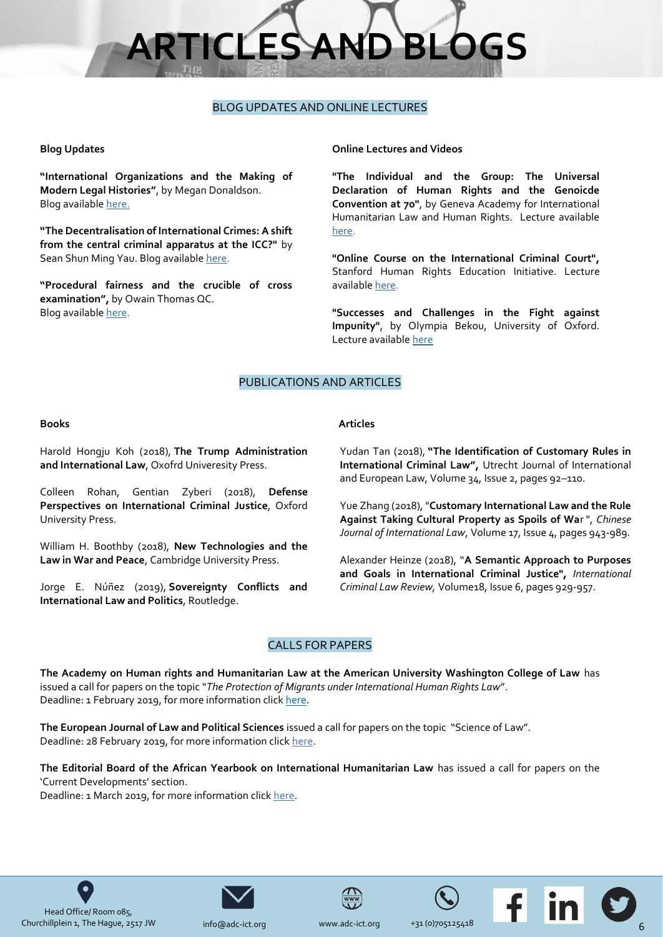# **ARTICLES AND BLC**

### BLOG UPDATES AND ONLINE LECTURES

### <span id="page-5-0"></span>**Blog Updates**

**"International Organizations and the Making of Modern Legal Histories"**, by Megan Donaldson. Blog available [here.](https://www.ejiltalk.org/international-organizations-and-the-making-of-modern-legal-histories/)

**"The Decentralisation of International Crimes: A shift from the central criminal apparatus at the ICC?"** by Sean Shun Ming Yau. Blog availabl[e here.](https://www.ejiltalk.org/the-decentralisation-of-international-crimes-a-shift-from-the-central-criminal-apparatus-at-the-icc/)

**"Procedural fairness and the crucible of cross examination",** by Owain Thomas QC. Blog availabl[e here.](https://ukhumanrightsblog.com/2018/12/19/procedural-fairness-and-the-crucible-of-cross-examination/)

### **Online Lectures and Videos**

**"The Individual and the Group: The Universal Declaration of Human Rights and the Genoicde Convention at 70"**, by Geneva Academy for International Humanitarian Law and Human Rights. Lecture available [here.](https://www.geneva-academy.ch/event/past-events/detail/132-the-individual-and-the-group-the-universal-declaration-of-human-rights-and-the-genocide-convention-at-70)

**"Online Course on the International Criminal Court",** Stanford Human Rights Education Initiative. Lecture available [here.](http://shrei.stanford.edu/node/449)

**"Successes and Challenges in the Fight against Impunity"**, by Olympia Bekou, University of Oxford. Lecture availabl[e here](https://podcasts.ox.ac.uk/successes-and-challenges-fight-against-impunity)

### PUBLICATIONS AND ARTICLES

### **Books**

Harold Hongju Koh (2018), **The Trump Administration and International Law**, Oxofrd Univeresity Press.

Colleen Rohan, Gentian Zyberi (2018), **Defense Perspectives on International Criminal Justice**, Oxford University Press.

William H. Boothby (2018), **New Technologies and the Law in War and Peace**, Cambridge University Press.

Jorge E. Núñez (2019), **Sovereignty Conflicts and International Law and Politics**, Routledge.

**Articles**

Yudan Tan (2018), **"The Identification of Customary Rules in International Criminal Law",** Utrecht Journal of International and European Law, Volume 34, Issue 2, pages 92–110.

Yue Zhang (2018), "**[Customary International Law and the Rule](https://www.peacepalacelibrary.nl/scripts/to_opac.php?ppn=419025227&abo=xx)  [Against Taking Cultural Property as Spoils of Wa](https://www.peacepalacelibrary.nl/scripts/to_opac.php?ppn=419025227&abo=xx)**r ", *Chinese Journal of International Law*, Volume 17, Issue 4, pages 943-989.

Alexander Heinze (2018), "**A Semantic Approach to Purposes and Goals in International Criminal Justice",** *International Criminal Law Review,* Volume18, Issue 6, pages 929-957.

### CALLS FOR PAPERS

**The Academy on Human rights and Humanitarian Law at the American University Washington College of Law** has issued a call for papers on the topic "*The Protection of Migrants under International Human Rights Law*". Deadline: 1 February 2019, for more information click [here.](https://esil-sedi.eu/?p=15539)

**The European Journal of Law and Political Sciences** issued a call for papers on the topic "Science of Law". Deadline: 28 February 2019, for more information click [here.](http://ppublishing.org/journals/405/)

**The Editorial Board of the African Yearbook on International Humanitarian Law** has issued a call for papers on the 'Current Developments' section.

Deadline: 1 March 2019, for more information click [here.](https://armedgroups-internationallaw.org/2019/01/17/call-for-submissions-for-the-african-yearbook-on-international-humanitarian-law%EF%BB%BF/)



[info@adc-](mailto:dkennedy@icty.org)ict.org